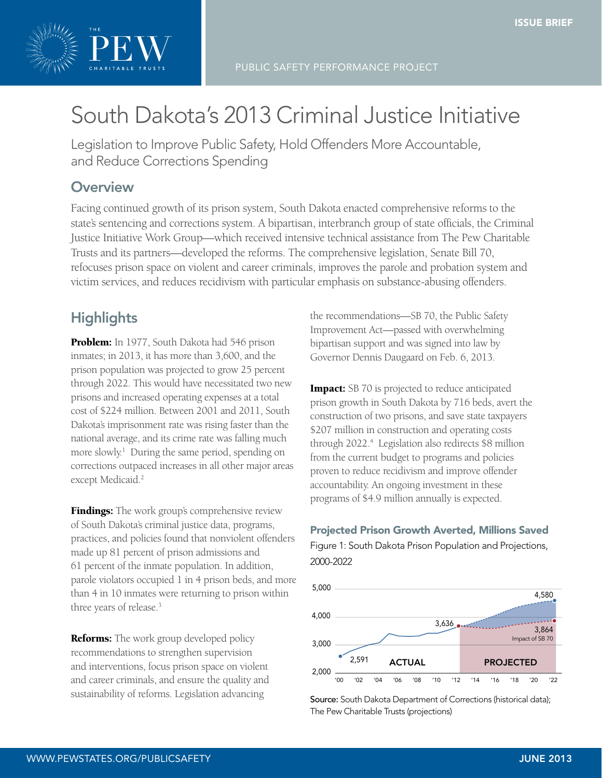

# South Dakota's 2013 Criminal Justice Initiative

Legislation to Improve Public Safety, Hold Offenders More Accountable, and Reduce Corrections Spending

# **Overview**

 $\begin{bmatrix} 1 & 0 & \cdots & 1 \\ 0 & 1 & \cdots & 0 \\ 0 & 0 & \cdots & 0 \end{bmatrix}$ Justice Initiative Work Group—which received intensive technical assistance from The Pew Charitable Trusts and its partners—developed the reforms. The comprehensive legislation, Senate Bill 70, Facing continued growth of its prison system, South Dakota enacted comprehensive reforms to the refocuses prison space on violent and career criminals, improves the parole and probation system and state's sentencing and corrections system. A bipartisan, interbranch group of state officials, the Criminal victim services, and reduces recidivism with particular emphasis on substance-abusing offenders.

# **Highlights**

Problem: In 1977, South Dakota had 546 prison inmates; in 2013, it has more than 3,600, and the prison population was projected to grow 25 percent through 2022. This would have necessitated two new prisons and increased operating expenses at a total cost of \$224 million. Between 2001 and 2011, South Dakota's imprisonment rate was rising faster than the national average, and its crime rate was falling much more slowly.1 During the same period, spending on corrections outpaced increases in all other major areas except Medicaid.<sup>2</sup>

61 percent of the inmate population. In addition, **Findings:** The work group's comprehensive review of South Dakota's criminal justice data, programs, practices, and policies found that nonviolent offenders made up 81 percent of prison admissions and parole violators occupied 1 in 4 prison beds, and more than 4 in 10 inmates were returning to prison within three years of release.3

**Reforms:** The work group developed policy recommendations to strengthen supervision and interventions, focus prison space on violent and career criminals, and ensure the quality and sustainability of reforms. Legislation advancing

bipartisan support and was signed into law by the recommendations—SB 70, the Public Safety Improvement Act—passed with overwhelming Governor Dennis Daugaard on Feb. 6, 2013.

**Impact:** SB 70 is projected to reduce anticipated programs of \$4.9 million annually is expected. prison growth in South Dakota by 716 beds, avert the construction of two prisons, and save state taxpayers \$207 million in construction and operating costs through 2022.<sup>4</sup> Legislation also redirects \$8 million from the current budget to programs and policies proven to reduce recidivism and improve offender accountability. An ongoing investment in these

Projected Prison Growth Averted, Millions Saved

Figure 1: South Dakota Prison Population and Projections, 2000-2022



Source: South Dakota Department of Corrections (historical data); The Pew Charitable Trusts (projections)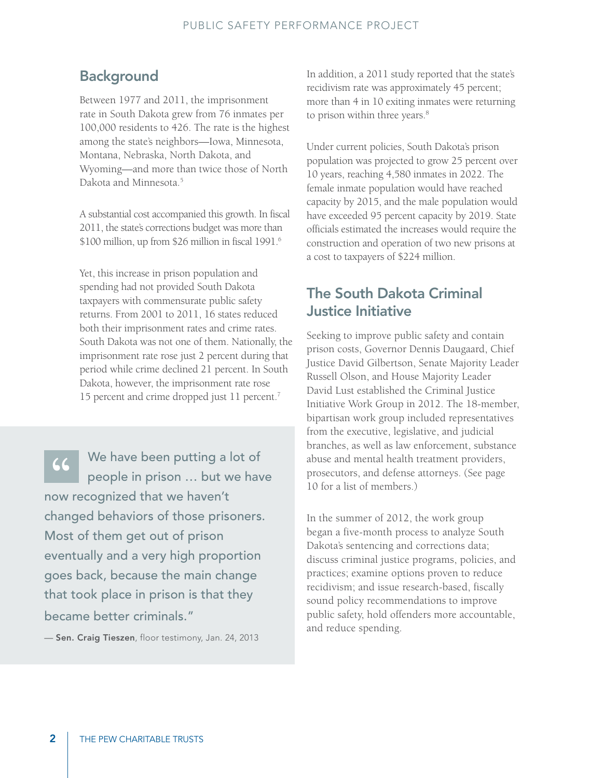# **Background**

Between 1977 and 2011, the imprisonment rate in South Dakota grew from 76 inmates per 100,000 residents to 426. The rate is the highest among the state's neighbors—Iowa, Minnesota, Montana, Nebraska, North Dakota, and Wyoming—and more than twice those of North Dakota and Minnesota.<sup>5</sup>

A substantial cost accompanied this growth. In fiscal 2011, the state's corrections budget was more than \$100 million, up from \$26 million in fiscal 1991.6

Yet, this increase in prison population and spending had not provided South Dakota taxpayers with commensurate public safety returns. From 2001 to 2011, 16 states reduced both their imprisonment rates and crime rates. South Dakota was not one of them. Nationally, the imprisonment rate rose just 2 percent during that period while crime declined 21 percent. In South Dakota, however, the imprisonment rate rose 15 percent and crime dropped just 11 percent.7

(C) We have been putting a lot of<br>people in prison ... but we have<br>aw recognized that we haven't people in prison … but we have now recognized that we haven't changed behaviors of those prisoners. Most of them get out of prison eventually and a very high proportion goes back, because the main change that took place in prison is that they became better criminals."

-Sen. Craig Tieszen, floor testimony, Jan. 24, 2013

In addition, a 2011 study reported that the state's recidivism rate was approximately 45 percent; more than 4 in 10 exiting inmates were returning to prison within three years.<sup>8</sup>

Under current policies, South Dakota's prison population was projected to grow 25 percent over 10 years, reaching 4,580 inmates in 2022. The female inmate population would have reached capacity by 2015, and the male population would have exceeded 95 percent capacity by 2019. State officials estimated the increases would require the construction and operation of two new prisons at a cost to taxpayers of \$224 million.

# The South Dakota Criminal Justice Initiative

Seeking to improve public safety and contain prison costs, Governor Dennis Daugaard, Chief Justice David Gilbertson, Senate Majority Leader Russell Olson, and House Majority Leader David Lust established the Criminal Justice Initiative Work Group in 2012. The 18-member, bipartisan work group included representatives from the executive, legislative, and judicial branches, as well as law enforcement, substance abuse and mental health treatment providers, prosecutors, and defense attorneys. (See page 10 for a list of members.)

In the summer of 2012, the work group began a five-month process to analyze South Dakota's sentencing and corrections data; discuss criminal justice programs, policies, and practices; examine options proven to reduce recidivism; and issue research-based, fiscally sound policy recommendations to improve public safety, hold offenders more accountable, and reduce spending.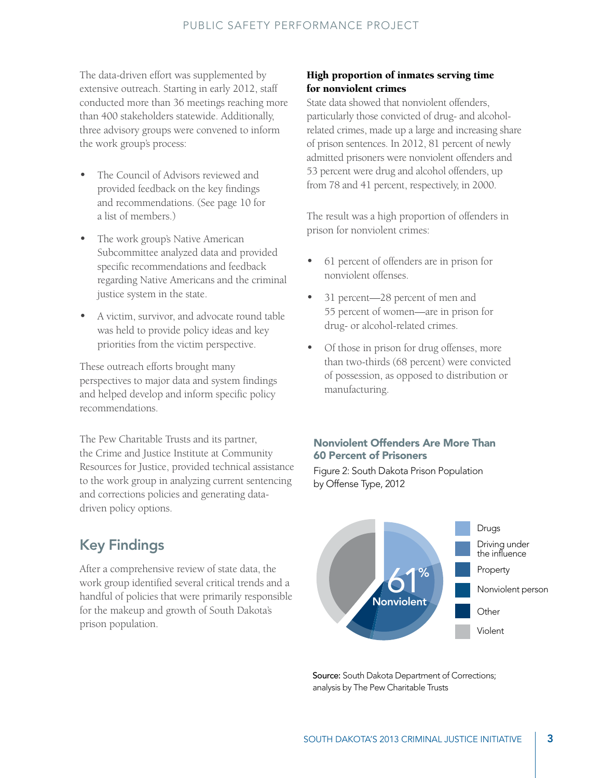The data-driven effort was supplemented by extensive outreach. Starting in early 2012, staff conducted more than 36 meetings reaching more than 400 stakeholders statewide. Additionally, three advisory groups were convened to inform the work group's process:

- The Council of Advisors reviewed and provided feedback on the key findings and recommendations. (See page 10 for a list of members.)
- The work group's Native American Subcommittee analyzed data and provided specific recommendations and feedback regarding Native Americans and the criminal justice system in the state.
- A victim, survivor, and advocate round table was held to provide policy ideas and key priorities from the victim perspective.

These outreach efforts brought many perspectives to major data and system findings and helped develop and inform specific policy recommendations.

The Pew Charitable Trusts and its partner, the Crime and Justice Institute at Community Resources for Justice, provided technical assistance to the work group in analyzing current sentencing and corrections policies and generating datadriven policy options.

# Key Findings

After a comprehensive review of state data, the work group identified several critical trends and a handful of policies that were primarily responsible for the makeup and growth of South Dakota's prison population.

## High proportion of inmates serving time for nonviolent crimes

State data showed that nonviolent offenders, particularly those convicted of drug- and alcoholrelated crimes, made up a large and increasing share of prison sentences. In 2012, 81 percent of newly admitted prisoners were nonviolent offenders and 53 percent were drug and alcohol offenders, up from 78 and 41 percent, respectively, in 2000.

The result was a high proportion of offenders in prison for nonviolent crimes:

- 61 percent of offenders are in prison for nonviolent offenses.
- 31 percent—28 percent of men and 55 percent of women—are in prison for drug- or alcohol-related crimes.
- Of those in prison for drug offenses, more than two-thirds (68 percent) were convicted of possession, as opposed to distribution or manufacturing.

#### nercent of Frisoners<br>""" 2: South Delate Britan Bandation Nonviolent Offenders Are More Than 60 Percent of Prisoners

Figure 2: South Dakota Prison Population<br>by Offense Type, 2012 South Dakota prison population by offense type, 2012 by Offense Type, 2012



Source: South Dakota Department of Corrections; analysis by The Pew Charitable Trusts

South Dakota prison population by offense type, 2012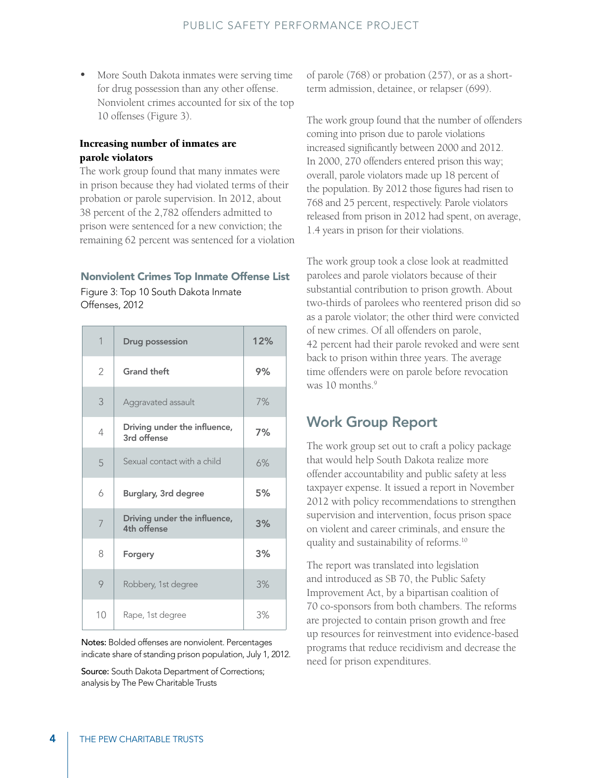• More South Dakota inmates were serving time for drug possession than any other offense. Nonviolent crimes accounted for six of the top 10 offenses (Figure 3).

### Increasing number of inmates are parole violators

The work group found that many inmates were in prison because they had violated terms of their probation or parole supervision. In 2012, about 38 percent of the 2,782 offenders admitted to prison were sentenced for a new conviction; the remaining 62 percent was sentenced for a violation

#### Nonviolent Crimes Top Inmate Offense List

Figure 3: Top 10 South Dakota Inmate Offenses, 2012

| 1              | <b>Drug possession</b>                      | 12% |
|----------------|---------------------------------------------|-----|
| $\overline{2}$ | <b>Grand theft</b>                          | 9%  |
| 3              | Aggravated assault                          | 7%  |
| 4              | Driving under the influence,<br>3rd offense | 7%  |
| 5              | Sexual contact with a child                 | 6%  |
| 6              | Burglary, 3rd degree                        | 5%  |
| 7              | Driving under the influence,<br>4th offense | 3%  |
| 8              | Forgery                                     | 3%  |
| 9              | Robbery, 1st degree                         | 3%  |
| 10             | Rape, 1st degree                            | 3%  |

Notes: Bolded offenses are nonviolent. Percentages indicate share of standing prison population, July 1, 2012.

Source: South Dakota Department of Corrections; analysis by The Pew Charitable Trusts

of parole (768) or probation (257), or as a shortterm admission, detainee, or relapser (699).

The work group found that the number of offenders coming into prison due to parole violations increased significantly between 2000 and 2012. In 2000, 270 offenders entered prison this way; overall, parole violators made up 18 percent of the population. By 2012 those figures had risen to 768 and 25 percent, respectively. Parole violators released from prison in 2012 had spent, on average, 1.4 years in prison for their violations.

The work group took a close look at readmitted parolees and parole violators because of their substantial contribution to prison growth. About two-thirds of parolees who reentered prison did so as a parole violator; the other third were convicted of new crimes. Of all offenders on parole, 42 percent had their parole revoked and were sent back to prison within three years. The average time offenders were on parole before revocation was  $10$  months<sup>9</sup>

# Work Group Report

The work group set out to craft a policy package that would help South Dakota realize more offender accountability and public safety at less taxpayer expense. It issued a report in November 2012 with policy recommendations to strengthen supervision and intervention, focus prison space on violent and career criminals, and ensure the quality and sustainability of reforms.10

The report was translated into legislation and introduced as SB 70, the Public Safety Improvement Act, by a bipartisan coalition of 70 co-sponsors from both chambers. The reforms are projected to contain prison growth and free up resources for reinvestment into evidence-based programs that reduce recidivism and decrease the need for prison expenditures.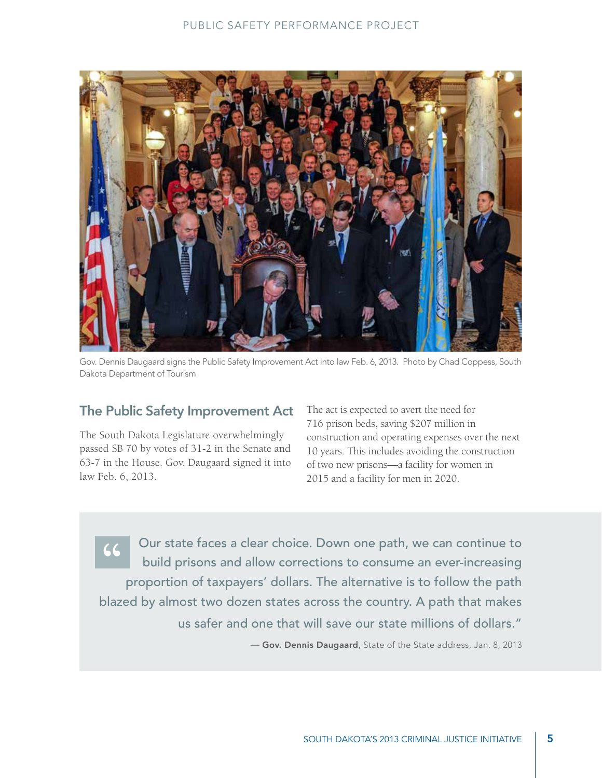

Gov. Dennis Daugaard signs the Public Safety Improvement Act into law Feb. 6, 2013. Photo by Chad Coppess, South Dakota Department of Tourism

# The Public Safety Improvement Act

The South Dakota Legislature overwhelmingly passed SB 70 by votes of 31-2 in the Senate and 63-7 in the House. Gov. Daugaard signed it into law Feb. 6, 2013.

The act is expected to avert the need for 716 prison beds, saving \$207 million in construction and operating expenses over the next 10 years. This includes avoiding the construction of two new prisons—a facility for women in 2015 and a facility for men in 2020.

**66 Our state faces a clear choice. Down one path, we can continue to build prisons and allow corrections to consume an ever-increasing**<br>**PERIODIST:** The alternative is to follow the path build prisons and allow corrections to consume an ever-increasing proportion of taxpayers' dollars. The alternative is to follow the path blazed by almost two dozen states across the country. A path that makes us safer and one that will save our state millions of dollars."

— Gov. Dennis Daugaard, State of the State address, Jan. 8, 2013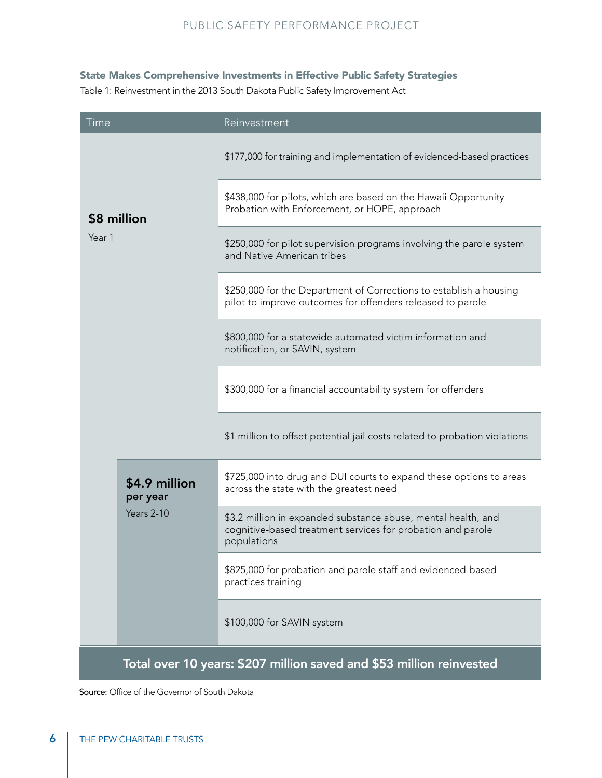## State Makes Comprehensive Investments in Effective Public Safety Strategies

Table 1: Reinvestment in the 2013 South Dakota Public Safety Improvement Act

| Time                                                                 |                                         | Reinvestment                                                                                                                                |  |
|----------------------------------------------------------------------|-----------------------------------------|---------------------------------------------------------------------------------------------------------------------------------------------|--|
| \$8 million<br>Year 1                                                |                                         | \$177,000 for training and implementation of evidenced-based practices                                                                      |  |
|                                                                      |                                         | \$438,000 for pilots, which are based on the Hawaii Opportunity<br>Probation with Enforcement, or HOPE, approach                            |  |
|                                                                      |                                         | \$250,000 for pilot supervision programs involving the parole system<br>and Native American tribes                                          |  |
|                                                                      |                                         | \$250,000 for the Department of Corrections to establish a housing<br>pilot to improve outcomes for offenders released to parole            |  |
|                                                                      |                                         | \$800,000 for a statewide automated victim information and<br>notification, or SAVIN, system                                                |  |
|                                                                      |                                         | \$300,000 for a financial accountability system for offenders                                                                               |  |
|                                                                      |                                         | \$1 million to offset potential jail costs related to probation violations                                                                  |  |
|                                                                      | \$4.9 million<br>per year<br>Years 2-10 | \$725,000 into drug and DUI courts to expand these options to areas<br>across the state with the greatest need                              |  |
|                                                                      |                                         | \$3.2 million in expanded substance abuse, mental health, and<br>cognitive-based treatment services for probation and parole<br>populations |  |
|                                                                      |                                         | \$825,000 for probation and parole staff and evidenced-based<br>practices training                                                          |  |
|                                                                      |                                         | \$100,000 for SAVIN system                                                                                                                  |  |
| Total over 10 years: \$207 million saved and \$53 million reinvested |                                         |                                                                                                                                             |  |

Source: Office of the Governor of South Dakota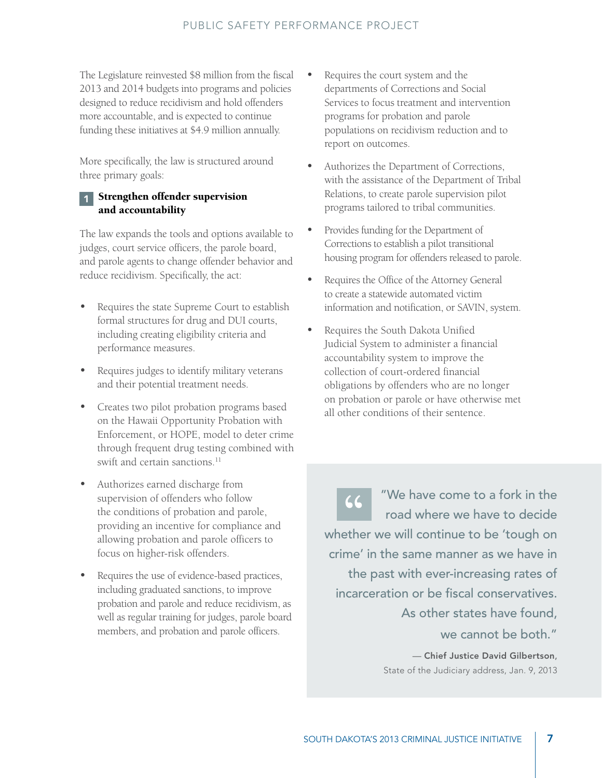The Legislature reinvested \$8 million from the fiscal 2013 and 2014 budgets into programs and policies designed to reduce recidivism and hold offenders more accountable, and is expected to continue funding these initiatives at \$4.9 million annually.

More specifically, the law is structured around three primary goals:

## **Strengthen offender supervision** and accountability

The law expands the tools and options available to judges, court service officers, the parole board, and parole agents to change offender behavior and reduce recidivism. Specifically, the act:

- Requires the state Supreme Court to establish formal structures for drug and DUI courts, including creating eligibility criteria and performance measures.
- Requires judges to identify military veterans and their potential treatment needs.
- Creates two pilot probation programs based on the Hawaii Opportunity Probation with Enforcement, or HOPE, model to deter crime through frequent drug testing combined with swift and certain sanctions.<sup>11</sup>
- Authorizes earned discharge from supervision of offenders who follow the conditions of probation and parole, providing an incentive for compliance and allowing probation and parole officers to focus on higher-risk offenders.
- Requires the use of evidence-based practices, including graduated sanctions, to improve probation and parole and reduce recidivism, as well as regular training for judges, parole board members, and probation and parole officers.
- Requires the court system and the departments of Corrections and Social Services to focus treatment and intervention programs for probation and parole populations on recidivism reduction and to report on outcomes.
- Authorizes the Department of Corrections, with the assistance of the Department of Tribal Relations, to create parole supervision pilot programs tailored to tribal communities.
- Provides funding for the Department of Corrections to establish a pilot transitional housing program for offenders released to parole.
- Requires the Office of the Attorney General to create a statewide automated victim information and notification, or SAVIN, system.
- Requires the South Dakota Unified Judicial System to administer a financial accountability system to improve the collection of court-ordered financial obligations by offenders who are no longer on probation or parole or have otherwise met all other conditions of their sentence.

" We have come to a fork in the<br>road where we have to decide<br>ather we will continue to be 'tough on road where we have to decide whether we will continue to be 'tough on crime' in the same manner as we have in the past with ever-increasing rates of incarceration or be fiscal conservatives. As other states have found, we cannot be both." — Chief Justice David Gilbertson,

State of the Judiciary address, Jan. 9, 2013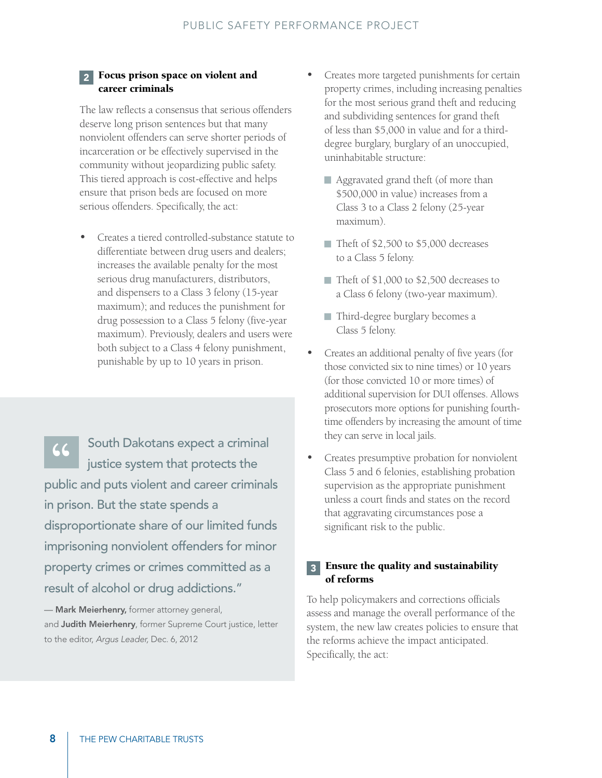#### 2 Focus prison space on violent and career criminals

The law reflects a consensus that serious offenders deserve long prison sentences but that many nonviolent offenders can serve shorter periods of incarceration or be effectively supervised in the community without jeopardizing public safety. This tiered approach is cost-effective and helps ensure that prison beds are focused on more serious offenders. Specifically, the act:

• Creates a tiered controlled-substance statute to differentiate between drug users and dealers; increases the available penalty for the most serious drug manufacturers, distributors, and dispensers to a Class 3 felony (15-year maximum); and reduces the punishment for drug possession to a Class 5 felony (five-year maximum). Previously, dealers and users were both subject to a Class 4 felony punishment, punishable by up to 10 years in prison.

" South Dakotans expect a criminal<br>
justice system that protects the<br>
whice and puts violent and sareor sriminal justice system that protects the public and puts violent and career criminals in prison. But the state spends a disproportionate share of our limited funds imprisoning nonviolent offenders for minor property crimes or crimes committed as a result of alcohol or drug addictions."

- Mark Meierhenry, former attorney general, and Judith Meierhenry, former Supreme Court justice, letter to the editor, *Argus Leader,* Dec. 6, 2012

- Creates more targeted punishments for certain property crimes, including increasing penalties for the most serious grand theft and reducing and subdividing sentences for grand theft of less than \$5,000 in value and for a thirddegree burglary, burglary of an unoccupied, uninhabitable structure:
	- Aggravated grand theft (of more than \$500,000 in value) increases from a Class 3 to a Class 2 felony (25-year maximum).
	- Theft of \$2,500 to \$5,000 decreases to a Class 5 felony.
	- Theft of \$1,000 to \$2,500 decreases to a Class 6 felony (two-year maximum).
	- Third-degree burglary becomes a Class 5 felony.
- Creates an additional penalty of five years (for those convicted six to nine times) or 10 years (for those convicted 10 or more times) of additional supervision for DUI offenses. Allows prosecutors more options for punishing fourthtime offenders by increasing the amount of time they can serve in local jails.
- Creates presumptive probation for nonviolent Class 5 and 6 felonies, establishing probation supervision as the appropriate punishment unless a court finds and states on the record that aggravating circumstances pose a significant risk to the public.

### **3** Ensure the quality and sustainability of reforms

To help policymakers and corrections officials assess and manage the overall performance of the system, the new law creates policies to ensure that the reforms achieve the impact anticipated. Specifically, the act: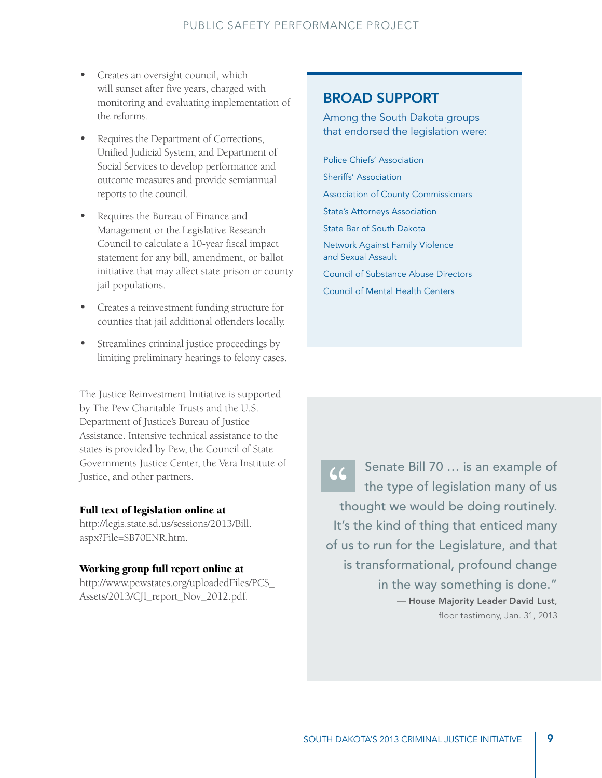- Creates an oversight council, which will sunset after five years, charged with monitoring and evaluating implementation of the reforms.
- Requires the Department of Corrections, Unified Judicial System, and Department of Social Services to develop performance and outcome measures and provide semiannual reports to the council.
- Requires the Bureau of Finance and Management or the Legislative Research Council to calculate a 10-year fiscal impact statement for any bill, amendment, or ballot initiative that may affect state prison or county jail populations.
- Creates a reinvestment funding structure for counties that jail additional offenders locally.
- Streamlines criminal justice proceedings by limiting preliminary hearings to felony cases.

The Justice Reinvestment Initiative is supported by The Pew Charitable Trusts and the U.S. Department of Justice's Bureau of Justice Assistance. Intensive technical assistance to the states is provided by Pew, the Council of State Governments Justice Center, the Vera Institute of Justice, and other partners.

#### Full text of legislation online at

http://legis.state.sd.us/sessions/2013/Bill. aspx?File=SB70ENR.htm.

#### Working group full report online at

http://www.pewstates.org/uploadedFiles/PCS\_ Assets/2013/CJI\_report\_Nov\_2012.pdf.

# broad support

Among the South Dakota groups that endorsed the legislation were:

Police Chiefs' Association Sheriffs' Association Association of County Commissioners State's Attorneys Association State Bar of South Dakota Network Against Family Violence and Sexual Assault Council of Substance Abuse Directors Council of Mental Health Centers

Senate Bill 70 ... is an example of<br>the type of legislation many of us<br>thought we would be doing routinely the type of legislation many of us thought we would be doing routinely. It's the kind of thing that enticed many of us to run for the Legislature, and that is transformational, profound change in the way something is done." — House Majority Leader David Lust, floor testimony, Jan. 31, 2013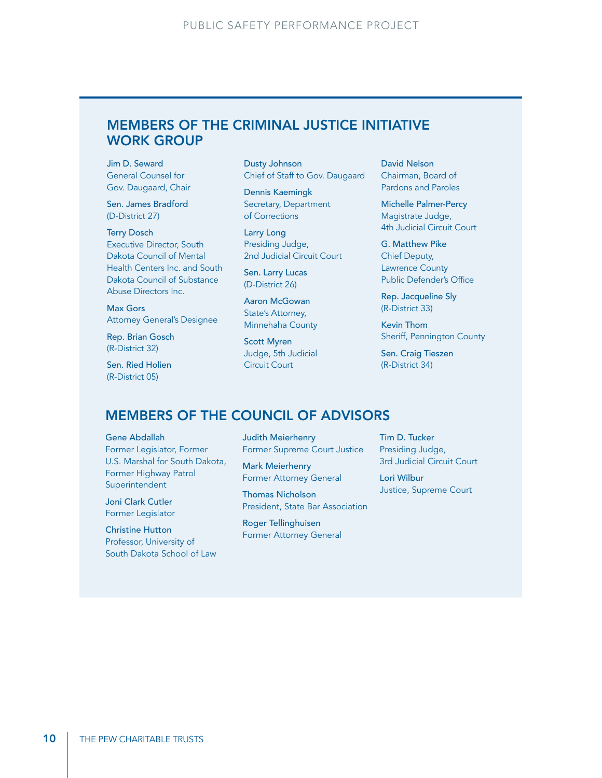# Members of the Criminal Justice Initiative Work Group

Jim D. Seward General Counsel for Gov. Daugaard, Chair

Sen. James Bradford (D-District 27)

Terry Dosch Executive Director, South Dakota Council of Mental Health Centers Inc. and South Dakota Council of Substance Abuse Directors Inc.

Max Gors Attorney General's Designee

Rep. Brian Gosch (R-District 32)

Sen. Ried Holien (R-District 05)

Dusty Johnson Chief of Staff to Gov. Daugaard

Dennis Kaemingk Secretary, Department of Corrections

Larry Long Presiding Judge, 2nd Judicial Circuit Court

Sen. Larry Lucas (D-District 26)

Aaron McGowan State's Attorney, Minnehaha County

Scott Myren Judge, 5th Judicial Circuit Court

David Nelson Chairman, Board of Pardons and Paroles

Michelle Palmer-Percy Magistrate Judge, 4th Judicial Circuit Court

G. Matthew Pike Chief Deputy, Lawrence County Public Defender's Office

Rep. Jacqueline Sly (R-District 33)

Kevin Thom Sheriff, Pennington County

Sen. Craig Tieszen (R-District 34)

## Members of the Council of Advisors

#### Gene Abdallah

Former Legislator, Former U.S. Marshal for South Dakota, Former Highway Patrol Superintendent

Joni Clark Cutler Former Legislator

Christine Hutton Professor, University of South Dakota School of Law Judith Meierhenry Former Supreme Court Justice

Mark Meierhenry Former Attorney General

Thomas Nicholson President, State Bar Association

Roger Tellinghuisen Former Attorney General Tim D. Tucker Presiding Judge, 3rd Judicial Circuit Court

Lori Wilbur Justice, Supreme Court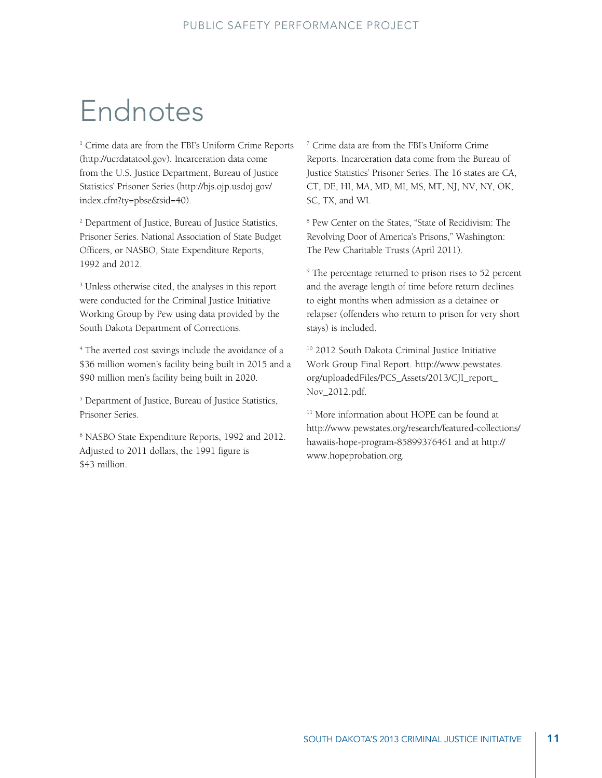# Endnotes

<sup>1</sup> Crime data are from the FBI's Uniform Crime Reports (http://ucrdatatool.gov). Incarceration data come from the U.S. Justice Department, Bureau of Justice Statistics' Prisoner Series (http://bjs.ojp.usdoj.gov/ index.cfm?ty=pbse&sid=40).

2 Department of Justice, Bureau of Justice Statistics, Prisoner Series. National Association of State Budget Officers, or NASBO, State Expenditure Reports, 1992 and 2012.

<sup>3</sup> Unless otherwise cited, the analyses in this report were conducted for the Criminal Justice Initiative Working Group by Pew using data provided by the South Dakota Department of Corrections.

4 The averted cost savings include the avoidance of a \$36 million women's facility being built in 2015 and a \$90 million men's facility being built in 2020.

5 Department of Justice, Bureau of Justice Statistics, Prisoner Series.

6 NASBO State Expenditure Reports, 1992 and 2012. Adjusted to 2011 dollars, the 1991 figure is \$43 million.

7 Crime data are from the FBI's Uniform Crime Reports. Incarceration data come from the Bureau of Justice Statistics' Prisoner Series. The 16 states are CA, CT, DE, HI, MA, MD, MI, MS, MT, NJ, NV, NY, OK, SC, TX, and WI.

8 Pew Center on the States, "State of Recidivism: The Revolving Door of America's Prisons," Washington: The Pew Charitable Trusts (April 2011).

<sup>9</sup> The percentage returned to prison rises to 52 percent and the average length of time before return declines to eight months when admission as a detainee or relapser (offenders who return to prison for very short stays) is included.

<sup>10</sup> 2012 South Dakota Criminal Justice Initiative Work Group Final Report. http://www.pewstates. org/uploadedFiles/PCS\_Assets/2013/CJI\_report\_ Nov\_2012.pdf.

<sup>11</sup> More information about HOPE can be found at http://www.pewstates.org/research/featured-collections/ hawaiis-hope-program-85899376461 and at http:// www.hopeprobation.org.